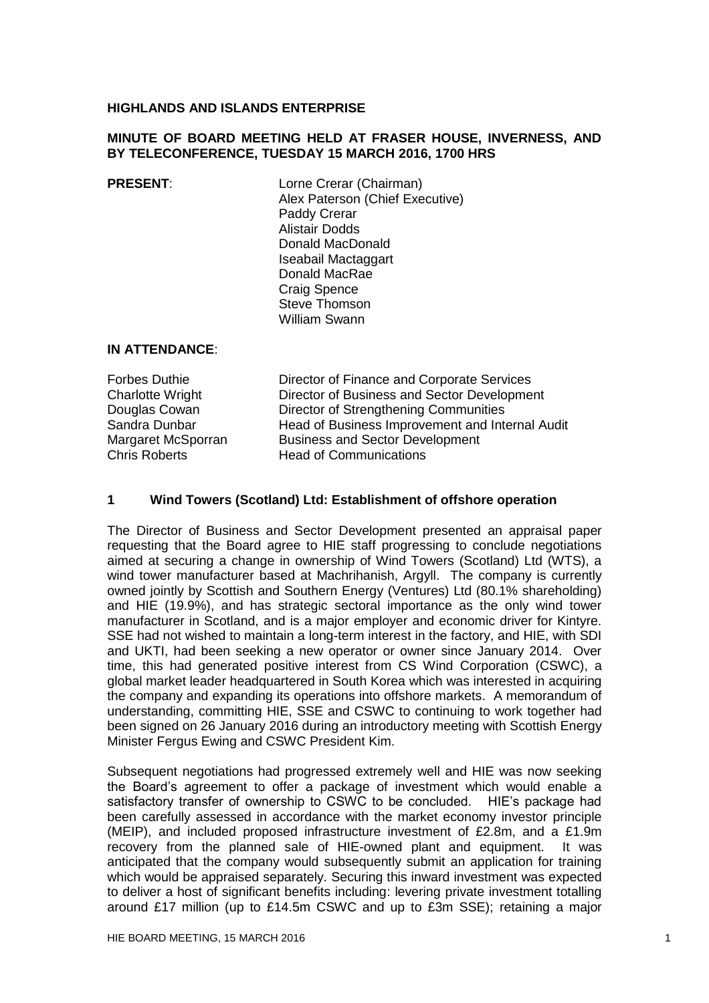#### **HIGHLANDS AND ISLANDS ENTERPRISE**

### **MINUTE OF BOARD MEETING HELD AT FRASER HOUSE, INVERNESS, AND BY TELECONFERENCE, TUESDAY 15 MARCH 2016, 1700 HRS**

# **PRESENT:** Lorne Crerar (Chairman) Alex Paterson (Chief Executive) Paddy Crerar Alistair Dodds Donald MacDonald Iseabail Mactaggart Donald MacRae Craig Spence Steve Thomson William Swann

## **IN ATTENDANCE**:

Forbes Duthie Director of Finance and Corporate Services Charlotte Wright Director of Business and Sector Development Douglas Cowan Director of Strengthening Communities Sandra Dunbar Head of Business Improvement and Internal Audit Margaret McSporran Business and Sector Development Chris Roberts **Head of Communications** 

#### **1 Wind Towers (Scotland) Ltd: Establishment of offshore operation**

The Director of Business and Sector Development presented an appraisal paper requesting that the Board agree to HIE staff progressing to conclude negotiations aimed at securing a change in ownership of Wind Towers (Scotland) Ltd (WTS), a wind tower manufacturer based at Machrihanish, Argyll. The company is currently owned jointly by Scottish and Southern Energy (Ventures) Ltd (80.1% shareholding) and HIE (19.9%), and has strategic sectoral importance as the only wind tower manufacturer in Scotland, and is a major employer and economic driver for Kintyre. SSE had not wished to maintain a long-term interest in the factory, and HIE, with SDI and UKTI, had been seeking a new operator or owner since January 2014. Over time, this had generated positive interest from CS Wind Corporation (CSWC), a global market leader headquartered in South Korea which was interested in acquiring the company and expanding its operations into offshore markets. A memorandum of understanding, committing HIE, SSE and CSWC to continuing to work together had been signed on 26 January 2016 during an introductory meeting with Scottish Energy Minister Fergus Ewing and CSWC President Kim.

Subsequent negotiations had progressed extremely well and HIE was now seeking the Board's agreement to offer a package of investment which would enable a satisfactory transfer of ownership to CSWC to be concluded. HIE's package had been carefully assessed in accordance with the market economy investor principle (MEIP), and included proposed infrastructure investment of £2.8m, and a £1.9m recovery from the planned sale of HIE-owned plant and equipment. It was anticipated that the company would subsequently submit an application for training which would be appraised separately. Securing this inward investment was expected to deliver a host of significant benefits including: levering private investment totalling around £17 million (up to £14.5m CSWC and up to £3m SSE); retaining a major